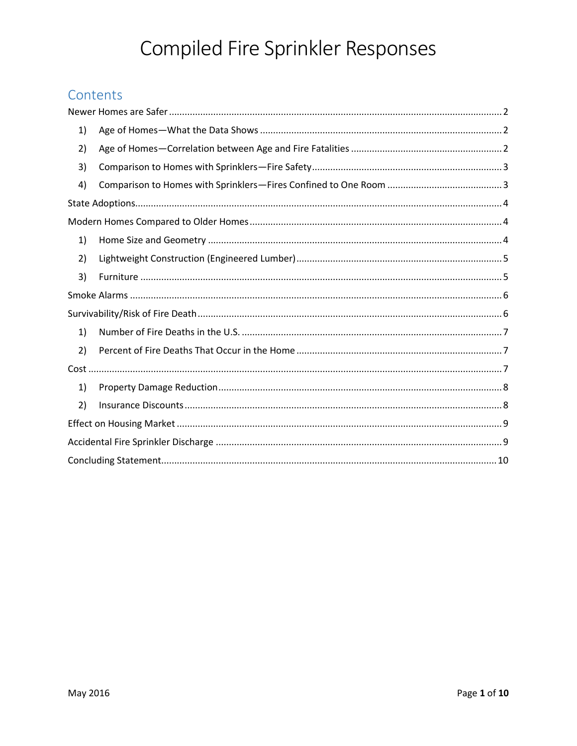# Compiled Fire Sprinkler Responses

# Contents

<span id="page-0-0"></span>

| 1) |  |  |  |  |
|----|--|--|--|--|
| 2) |  |  |  |  |
| 3) |  |  |  |  |
| 4) |  |  |  |  |
|    |  |  |  |  |
|    |  |  |  |  |
| 1) |  |  |  |  |
| 2) |  |  |  |  |
| 3) |  |  |  |  |
|    |  |  |  |  |
|    |  |  |  |  |
| 1) |  |  |  |  |
| 2) |  |  |  |  |
|    |  |  |  |  |
| 1) |  |  |  |  |
| 2) |  |  |  |  |
|    |  |  |  |  |
|    |  |  |  |  |
|    |  |  |  |  |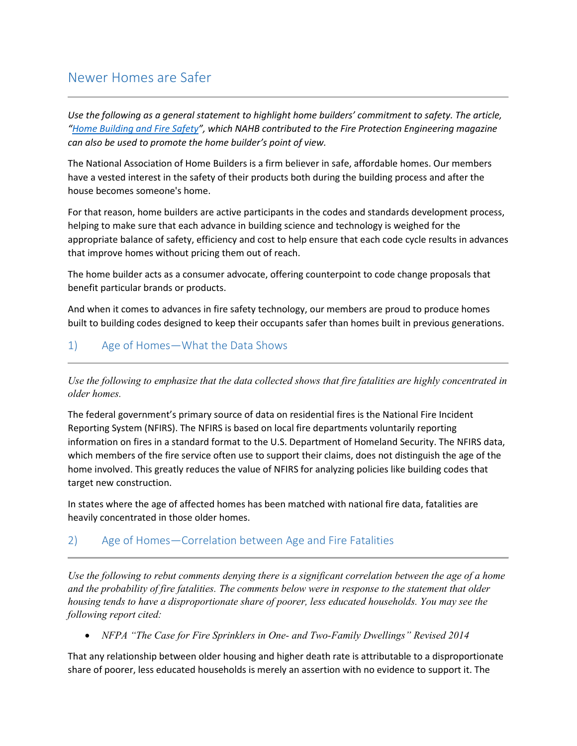# <span id="page-1-0"></span>Newer Homes are Safer

*Use the following as a general statement to highlight home builders' commitment to safety. The article, "[Home Building and Fire Safety](http://www.fireprotectionengineering-digital.com/fireprotectionengineering/2016_q2?pg=10#pg10)", which NAHB contributed to the Fire Protection Engineering magazine can also be used to promote the home builder's point of view.* 

The National Association of Home Builders is a firm believer in safe, affordable homes. Our members have a vested interest in the safety of their products both during the building process and after the house becomes someone's home.

For that reason, home builders are active participants in the codes and standards development process, helping to make sure that each advance in building science and technology is weighed for the appropriate balance of safety, efficiency and cost to help ensure that each code cycle results in advances that improve homes without pricing them out of reach.

The home builder acts as a consumer advocate, offering counterpoint to code change proposals that benefit particular brands or products.

And when it comes to advances in fire safety technology, our members are proud to produce homes built to building codes designed to keep their occupants safer than homes built in previous generations.

### <span id="page-1-1"></span>1) Age of Homes—What the Data Shows

*Use the following to emphasize that the data collected shows that fire fatalities are highly concentrated in older homes.* 

The federal government's primary source of data on residential fires is the National Fire Incident Reporting System (NFIRS). The NFIRS is based on local fire departments voluntarily reporting information on fires in a standard format to the U.S. Department of Homeland Security. The NFIRS data, which members of the fire service often use to support their claims, does not distinguish the age of the home involved. This greatly reduces the value of NFIRS for analyzing policies like building codes that target new construction.

In states where the age of affected homes has been matched with national fire data, fatalities are heavily concentrated in those older homes.

### <span id="page-1-2"></span>2) Age of Homes—Correlation between Age and Fire Fatalities

*Use the following to rebut comments denying there is a significant correlation between the age of a home and the probability of fire fatalities. The comments below were in response to the statement that older housing tends to have a disproportionate share of poorer, less educated households. You may see the following report cited:* 

#### *NFPA "The Case for Fire Sprinklers in One- and Two-Family Dwellings" Revised 2014*

That any relationship between older housing and higher death rate is attributable to a disproportionate share of poorer, less educated households is merely an assertion with no evidence to support it. The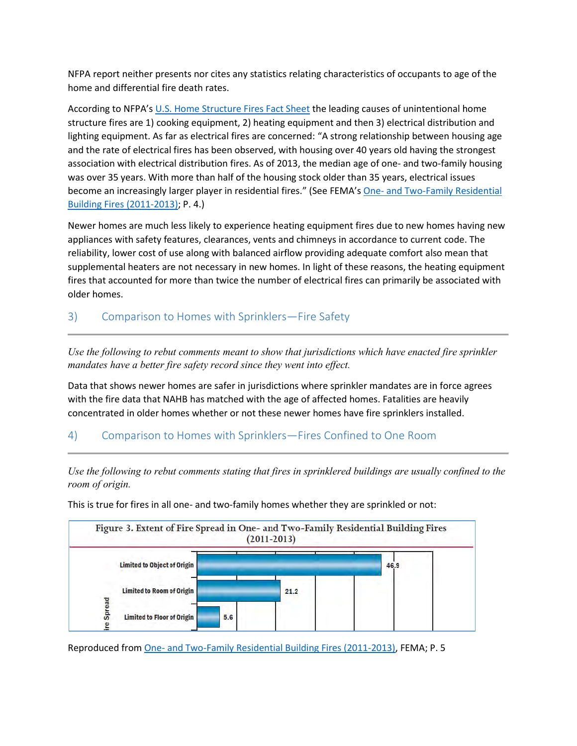NFPA report neither presents nor cites any statistics relating characteristics of occupants to age of the home and differential fire death rates.

According to NFPA's [U.S. Home Structure Fires Fact Sheet](http://www.nfpa.org/research/reports-and-statistics/fires-by-property-type/residential/home-structure-fires) the leading causes of unintentional home structure fires are 1) cooking equipment, 2) heating equipment and then 3) electrical distribution and lighting equipment. As far as electrical fires are concerned: "A strong relationship between housing age and the rate of electrical fires has been observed, with housing over 40 years old having the strongest association with electrical distribution fires. As of 2013, the median age of one- and two-family housing was over 35 years. With more than half of the housing stock older than 35 years, electrical issues become an increasingly larger player in residential fires." (See FEMA's [One- and Two-Family Residential](http://go.usa.gov/3sDuH)  [Building Fires \(2011-2013\);](http://go.usa.gov/3sDuH) P. 4.)

Newer homes are much less likely to experience heating equipment fires due to new homes having new appliances with safety features, clearances, vents and chimneys in accordance to current code. The reliability, lower cost of use along with balanced airflow providing adequate comfort also mean that supplemental heaters are not necessary in new homes. In light of these reasons, the heating equipment fires that accounted for more than twice the number of electrical fires can primarily be associated with older homes.

<span id="page-2-0"></span>3) Comparison to Homes with Sprinklers—Fire Safety

*Use the following to rebut comments meant to show that jurisdictions which have enacted fire sprinkler mandates have a better fire safety record since they went into effect.* 

Data that shows newer homes are safer in jurisdictions where sprinkler mandates are in force agrees with the fire data that NAHB has matched with the age of affected homes. Fatalities are heavily concentrated in older homes whether or not these newer homes have fire sprinklers installed.

#### <span id="page-2-1"></span>4) Comparison to Homes with Sprinklers—Fires Confined to One Room

*Use the following to rebut comments stating that fires in sprinklered buildings are usually confined to the room of origin.* 

This is true for fires in all one- and two-family homes whether they are sprinkled or not:



Reproduced from [One- and Two-Family Residential Building Fires \(2011-2013\),](http://go.usa.gov/3sDuH) FEMA; P. 5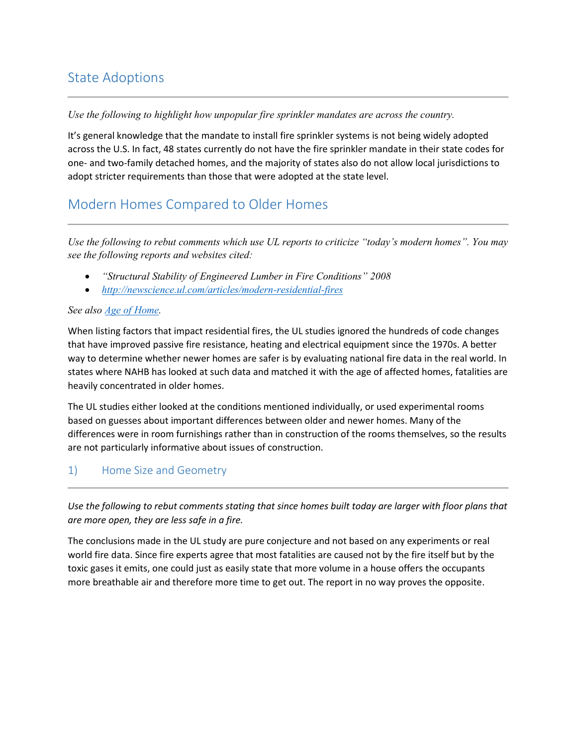# <span id="page-3-0"></span>State Adoptions

#### *Use the following to highlight how unpopular fire sprinkler mandates are across the country.*

It's general knowledge that the mandate to install fire sprinkler systems is not being widely adopted across the U.S. In fact, 48 states currently do not have the fire sprinkler mandate in their state codes for one- and two-family detached homes, and the majority of states also do not allow local jurisdictions to adopt stricter requirements than those that were adopted at the state level.

## <span id="page-3-1"></span>Modern Homes Compared to Older Homes

*Use the following to rebut comments which use UL reports to criticize "today's modern homes". You may see the following reports and websites cited:* 

- *"Structural Stability of Engineered Lumber in Fire Conditions" 2008*
- *<http://newscience.ul.com/articles/modern-residential-fires>*

#### *See also [Age of Home.](#page-0-0)*

When listing factors that impact residential fires, the UL studies ignored the hundreds of code changes that have improved passive fire resistance, heating and electrical equipment since the 1970s. A better way to determine whether newer homes are safer is by evaluating national fire data in the real world. In states where NAHB has looked at such data and matched it with the age of affected homes, fatalities are heavily concentrated in older homes.

The UL studies either looked at the conditions mentioned individually, or used experimental rooms based on guesses about important differences between older and newer homes. Many of the differences were in room furnishings rather than in construction of the rooms themselves, so the results are not particularly informative about issues of construction.

#### <span id="page-3-2"></span>1) Home Size and Geometry

*Use the following to rebut comments stating that since homes built today are larger with floor plans that are more open, they are less safe in a fire.* 

<span id="page-3-3"></span>The conclusions made in the UL study are pure conjecture and not based on any experiments or real world fire data. Since fire experts agree that most fatalities are caused not by the fire itself but by the toxic gases it emits, one could just as easily state that more volume in a house offers the occupants more breathable air and therefore more time to get out. The report in no way proves the opposite.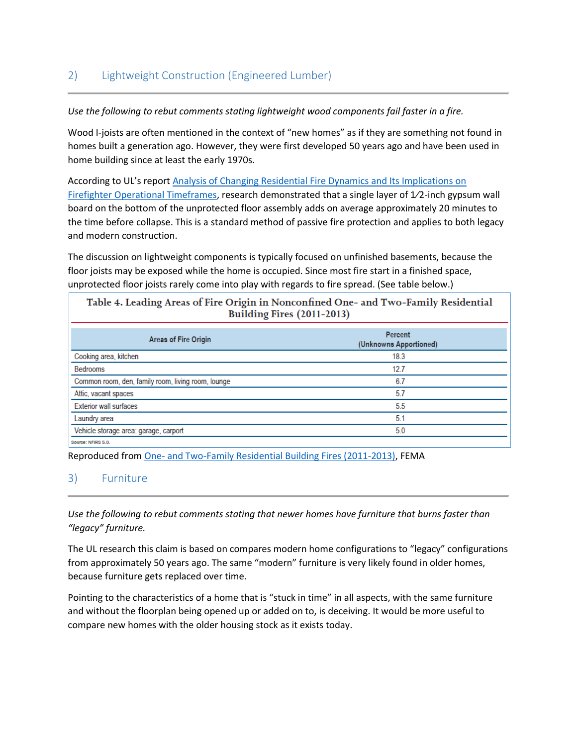### 2) Lightweight Construction (Engineered Lumber)

#### *Use the following to rebut comments stating lightweight wood components fail faster in a fire.*

Wood I-joists are often mentioned in the context of "new homes" as if they are something not found in homes built a generation ago. However, they were first developed 50 years ago and have been used in home building since at least the early 1970s.

According to UL's report [Analysis of Changing Residential Fire Dynamics and Its Implications on](http://newscience.ul.com/wp-content/uploads/2014/04/Analysis_of_Changing_Residential_Fire_Dynamics_and_Its_Implications_on_Firefighter_Operational_Timeframes.pdf)  [Firefighter Operational Timeframes](http://newscience.ul.com/wp-content/uploads/2014/04/Analysis_of_Changing_Residential_Fire_Dynamics_and_Its_Implications_on_Firefighter_Operational_Timeframes.pdf), research demonstrated that a single layer of 1⁄2-inch gypsum wall board on the bottom of the unprotected floor assembly adds on average approximately 20 minutes to the time before collapse. This is a standard method of passive fire protection and applies to both legacy and modern construction.

The discussion on lightweight components is typically focused on unfinished basements, because the floor joists may be exposed while the home is occupied. Since most fire start in a finished space, unprotected floor joists rarely come into play with regards to fire spread. (See table below.)

| Table 4. Leading Areas of Fire Origin in Nonconfined One- and Two-Family Residential<br>Building Fires (2011-2013) |                                   |  |  |  |  |
|--------------------------------------------------------------------------------------------------------------------|-----------------------------------|--|--|--|--|
| Areas of Fire Origin                                                                                               | Percent<br>(Unknowns Apportioned) |  |  |  |  |
| Cooking area, kitchen                                                                                              | 18.3                              |  |  |  |  |
| <b>Bedrooms</b>                                                                                                    | 12.7                              |  |  |  |  |
| Common room, den, family room, living room, lounge                                                                 | 6.7                               |  |  |  |  |
| Attic, vacant spaces                                                                                               | 5.7                               |  |  |  |  |
| <b>Exterior wall surfaces</b>                                                                                      | 5.5                               |  |  |  |  |
| Laundry area                                                                                                       | 5.1                               |  |  |  |  |
| Vehicle storage area: garage, carport                                                                              | 5.0                               |  |  |  |  |
| Source: NFIRS 5.0.                                                                                                 |                                   |  |  |  |  |

Reproduced from [One- and Two-Family Residential Building Fires \(2011-2013\),](http://go.usa.gov/3sDuH) FEMA

#### <span id="page-4-0"></span>3) Furniture

*Use the following to rebut comments stating that newer homes have furniture that burns faster than "legacy" furniture.*

The UL research this claim is based on compares modern home configurations to "legacy" configurations from approximately 50 years ago. The same "modern" furniture is very likely found in older homes, because furniture gets replaced over time.

Pointing to the characteristics of a home that is "stuck in time" in all aspects, with the same furniture and without the floorplan being opened up or added on to, is deceiving. It would be more useful to compare new homes with the older housing stock as it exists today.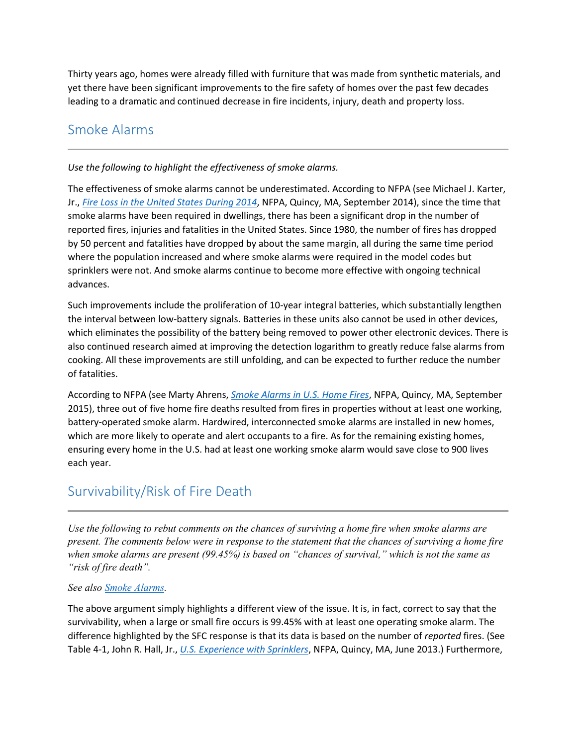Thirty years ago, homes were already filled with furniture that was made from synthetic materials, and yet there have been significant improvements to the fire safety of homes over the past few decades leading to a dramatic and continued decrease in fire incidents, injury, death and property loss.

# <span id="page-5-0"></span>Smoke Alarms

#### *Use the following to highlight the effectiveness of smoke alarms.*

The effectiveness of smoke alarms cannot be underestimated. According to NFPA (see Michael J. Karter, Jr., *[Fire Loss in the United States During 2014](http://www.nfpa.org/research/reports-and-statistics/fires-in-the-us/overall-fire-problem/fire-loss-in-the-united-states)*, NFPA, Quincy, MA, September 2014), since the time that smoke alarms have been required in dwellings, there has been a significant drop in the number of reported fires, injuries and fatalities in the United States. Since 1980, the number of fires has dropped by 50 percent and fatalities have dropped by about the same margin, all during the same time period where the population increased and where smoke alarms were required in the model codes but sprinklers were not. And smoke alarms continue to become more effective with ongoing technical advances.

Such improvements include the proliferation of 10-year integral batteries, which substantially lengthen the interval between low-battery signals. Batteries in these units also cannot be used in other devices, which eliminates the possibility of the battery being removed to power other electronic devices. There is also continued research aimed at improving the detection logarithm to greatly reduce false alarms from cooking. All these improvements are still unfolding, and can be expected to further reduce the number of fatalities.

According to NFPA (see Marty Ahrens, *[Smoke Alarms in U.S. Home Fires](http://www.nfpa.org/research/reports-and-statistics/fire-safety-equipment/smoke-alarms-in-us-home-fires)*, NFPA, Quincy, MA, September 2015), three out of five home fire deaths resulted from fires in properties without at least one working, battery-operated smoke alarm. Hardwired, interconnected smoke alarms are installed in new homes, which are more likely to operate and alert occupants to a fire. As for the remaining existing homes, ensuring every home in the U.S. had at least one working smoke alarm would save close to 900 lives each year.

# <span id="page-5-1"></span>Survivability/Risk of Fire Death

*Use the following to rebut comments on the chances of surviving a home fire when smoke alarms are present. The comments below were in response to the statement that the chances of surviving a home fire when smoke alarms are present (99.45%) is based on "chances of survival," which is not the same as "risk of fire death".*

#### *See also [Smoke Alarms.](#page-5-0)*

The above argument simply highlights a different view of the issue. It is, in fact, correct to say that the survivability, when a large or small fire occurs is 99.45% with at least one operating smoke alarm. The difference highlighted by the SFC response is that its data is based on the number of *reported* fires. (See Table 4-1, John R. Hall, Jr., *[U.S. Experience with Sprinklers](http://www.nfpa.org/research/reports-and-statistics/fire-safety-equipment/us-experience-with-sprinklers)*, NFPA, Quincy, MA, June 2013.) Furthermore,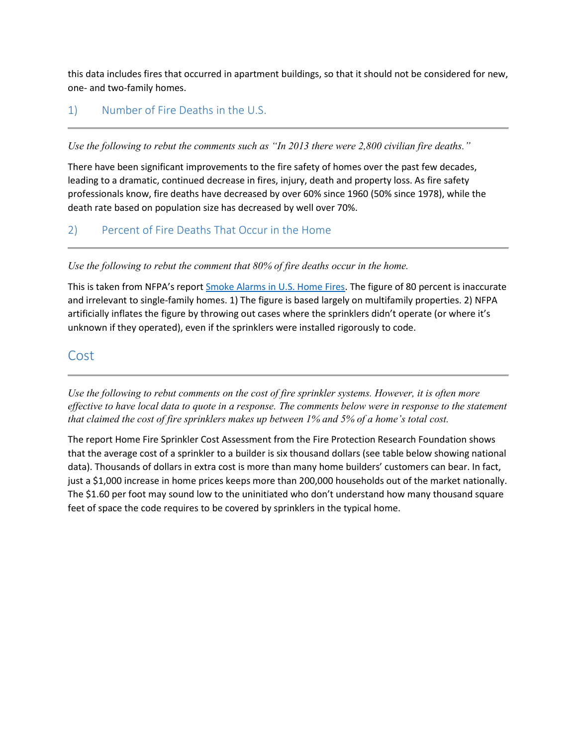this data includes fires that occurred in apartment buildings, so that it should not be considered for new, one- and two-family homes.

### <span id="page-6-0"></span>1) Number of Fire Deaths in the U.S.

*Use the following to rebut the comments such as "In 2013 there were 2,800 civilian fire deaths."* 

There have been significant improvements to the fire safety of homes over the past few decades, leading to a dramatic, continued decrease in fires, injury, death and property loss. As fire safety professionals know, fire deaths have decreased by over 60% since 1960 (50% since 1978), while the death rate based on population size has decreased by well over 70%.

### <span id="page-6-1"></span>2) Percent of Fire Deaths That Occur in the Home

#### *Use the following to rebut the comment that 80% of fire deaths occur in the home.*

This is taken from NFPA's report [Smoke Alarms in U.S. Home Fires.](http://www.nfpa.org/~/media/files/research/nfpa-reports/fire-protection-systems/ossmokealarms.pdf?la=en) The figure of 80 percent is inaccurate and irrelevant to single-family homes. 1) The figure is based largely on multifamily properties. 2) NFPA artificially inflates the figure by throwing out cases where the sprinklers didn't operate (or where it's unknown if they operated), even if the sprinklers were installed rigorously to code.

### <span id="page-6-2"></span>Cost

*Use the following to rebut comments on the cost of fire sprinkler systems. However, it is often more effective to have local data to quote in a response. The comments below were in response to the statement that claimed the cost of fire sprinklers makes up between 1% and 5% of a home's total cost.* 

The report Home Fire Sprinkler Cost Assessment from the Fire Protection Research Foundation shows that the average cost of a sprinkler to a builder is six thousand dollars (see table below showing national data). Thousands of dollars in extra cost is more than many home builders' customers can bear. In fact, just a \$1,000 increase in home prices keeps more than 200,000 households out of the market nationally. The \$1.60 per foot may sound low to the uninitiated who don't understand how many thousand square feet of space the code requires to be covered by sprinklers in the typical home.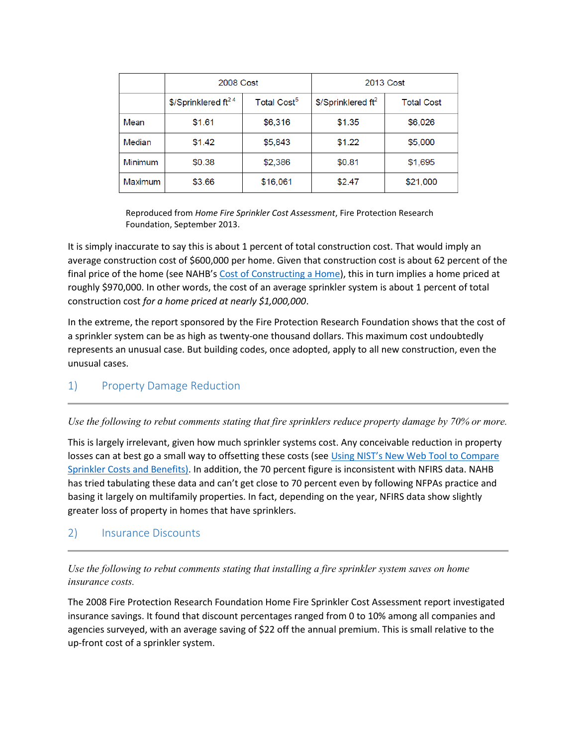|                | 2008 Cost                         |                         | 2013 Cost                        |                   |
|----------------|-----------------------------------|-------------------------|----------------------------------|-------------------|
|                | $$$ /Sprinklered ft <sup>24</sup> | Total Cost <sup>5</sup> | $$$ /Sprinklered ft <sup>2</sup> | <b>Total Cost</b> |
| Mean           | \$1.61                            | \$6,316                 | \$1.35                           | \$6,026           |
| Median         | \$1.42                            | \$5,843                 | \$1.22                           | \$5,000           |
| Minimum        | \$0.38                            | \$2,386                 | \$0.81                           | \$1,695           |
| <b>Maximum</b> | \$3.66                            | \$16,061                | \$2.47                           | \$21,000          |

Reproduced from *Home Fire Sprinkler Cost Assessment*, Fire Protection Research Foundation, September 2013.

It is simply inaccurate to say this is about 1 percent of total construction cost. That would imply an average construction cost of \$600,000 per home. Given that construction cost is about 62 percent of the final price of the home (see NAHB's [Cost of Constructing a Home\)](http://www.nahbclassic.org/generic.aspx?sectionID=734&genericContentID=221388&channelID=311), this in turn implies a home priced at roughly \$970,000. In other words, the cost of an average sprinkler system is about 1 percent of total construction cost *for a home priced at nearly \$1,000,000*.

In the extreme, the report sponsored by the Fire Protection Research Foundation shows that the cost of a sprinkler system can be as high as twenty-one thousand dollars. This maximum cost undoubtedly represents an unusual case. But building codes, once adopted, apply to all new construction, even the unusual cases.

### <span id="page-7-0"></span>1) Property Damage Reduction

*Use the following to rebut comments stating that fire sprinklers reduce property damage by 70% or more.* 

This is largely irrelevant, given how much sprinkler systems cost. Any conceivable reduction in property losses can at best go a small way to offsetting these costs (see Using NIST's New Web Tool to Compare [Sprinkler Costs and Benefits\).](http://www.nahbclassic.org/generic.aspx?sectionID=734&genericContentID=166135&channelID=311) In addition, the 70 percent figure is inconsistent with NFIRS data. NAHB has tried tabulating these data and can't get close to 70 percent even by following NFPAs practice and basing it largely on multifamily properties. In fact, depending on the year, NFIRS data show slightly greater loss of property in homes that have sprinklers.

#### <span id="page-7-1"></span>2) Insurance Discounts

#### *Use the following to rebut comments stating that installing a fire sprinkler system saves on home insurance costs.*

The 2008 Fire Protection Research Foundation Home Fire Sprinkler Cost Assessment report investigated insurance savings. It found that discount percentages ranged from 0 to 10% among all companies and agencies surveyed, with an average saving of \$22 off the annual premium. This is small relative to the up-front cost of a sprinkler system.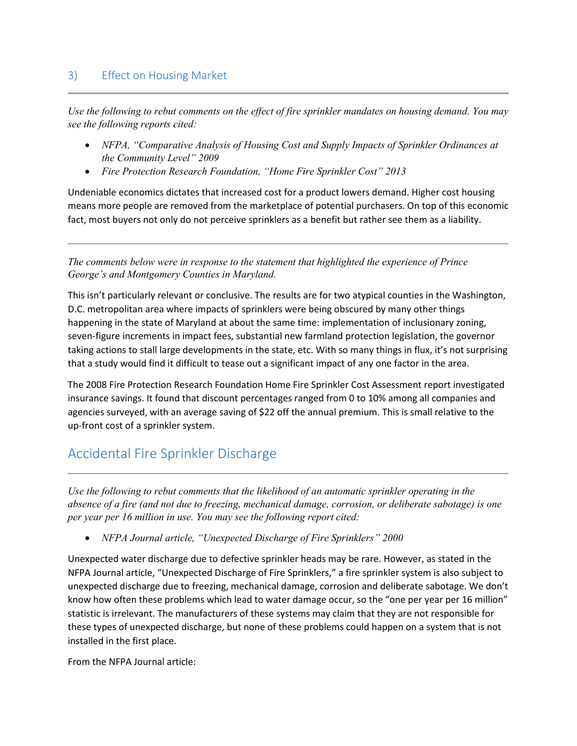### <span id="page-8-0"></span>3) Effect on Housing Market

*Use the following to rebut comments on the effect of fire sprinkler mandates on housing demand. You may see the following reports cited:* 

- *NFPA, "Comparative Analysis of Housing Cost and Supply Impacts of Sprinkler Ordinances at the Community Level" 2009*
- *Fire Protection Research Foundation, "Home Fire Sprinkler Cost" 2013*

Undeniable economics dictates that increased cost for a product lowers demand. Higher cost housing means more people are removed from the marketplace of potential purchasers. On top of this economic fact, most buyers not only do not perceive sprinklers as a benefit but rather see them as a liability.

*The comments below were in response to the statement that highlighted the experience of Prince George's and Montgomery Counties in Maryland.* 

This isn't particularly relevant or conclusive. The results are for two atypical counties in the Washington, D.C. metropolitan area where impacts of sprinklers were being obscured by many other things happening in the state of Maryland at about the same time: implementation of inclusionary zoning, seven-figure increments in impact fees, substantial new farmland protection legislation, the governor taking actions to stall large developments in the state, etc. With so many things in flux, it's not surprising that a study would find it difficult to tease out a significant impact of any one factor in the area.

The 2008 Fire Protection Research Foundation Home Fire Sprinkler Cost Assessment report investigated insurance savings. It found that discount percentages ranged from 0 to 10% among all companies and agencies surveyed, with an average saving of \$22 off the annual premium. This is small relative to the up-front cost of a sprinkler system.

# <span id="page-8-1"></span>Accidental Fire Sprinkler Discharge

*Use the following to rebut comments that the likelihood of an automatic sprinkler operating in the absence of a fire (and not due to freezing, mechanical damage, corrosion, or deliberate sabotage) is one per year per 16 million in use. You may see the following report cited:* 

*NFPA Journal article, "Unexpected Discharge of Fire Sprinklers" 2000* 

Unexpected water discharge due to defective sprinkler heads may be rare. However, as stated in the NFPA Journal article, "Unexpected Discharge of Fire Sprinklers," a fire sprinkler system is also subject to unexpected discharge due to freezing, mechanical damage, corrosion and deliberate sabotage. We don't know how often these problems which lead to water damage occur, so the "one per year per 16 million" statistic is irrelevant. The manufacturers of these systems may claim that they are not responsible for these types of unexpected discharge, but none of these problems could happen on a system that is not installed in the first place.

From the NFPA Journal article: